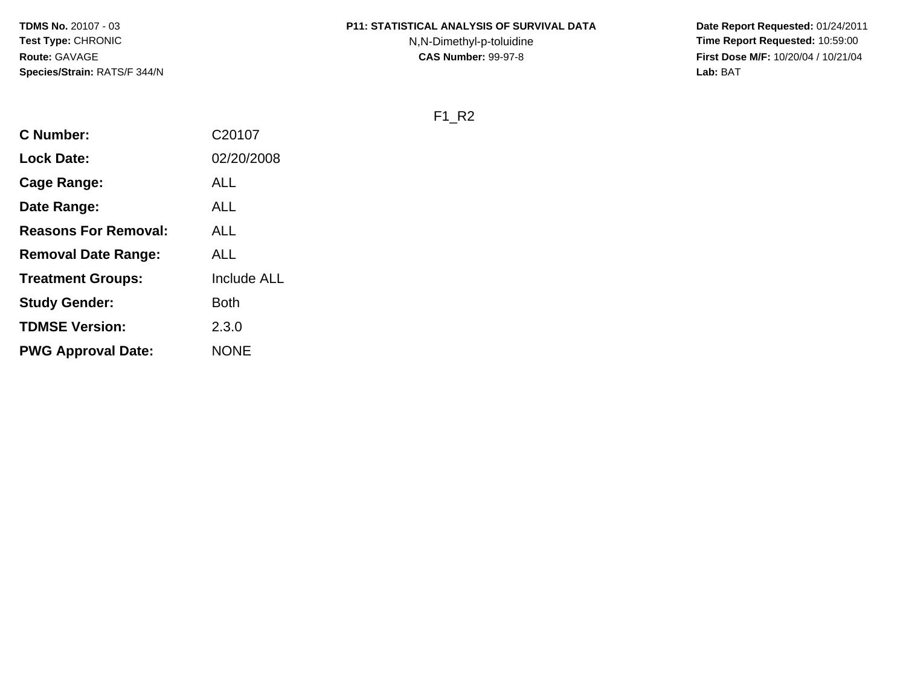# **P11: STATISTICAL ANALYSIS OF SURVIVAL DATA**

N,N-Dimethyl-p-toluidine

 **Date Report Requested:** 01/24/2011 **Time Report Requested:** 10:59:00 **First Dose M/F:** 10/20/04 / 10/21/04<br>**Lab:** BAT **Lab:** BAT

F1\_R2

| <b>C</b> Number:            | C20107             |
|-----------------------------|--------------------|
| <b>Lock Date:</b>           | 02/20/2008         |
| Cage Range:                 | ALL                |
| Date Range:                 | ALL                |
| <b>Reasons For Removal:</b> | ALL                |
| <b>Removal Date Range:</b>  | ALL                |
| <b>Treatment Groups:</b>    | <b>Include ALL</b> |
| <b>Study Gender:</b>        | Both               |
| <b>TDMSE Version:</b>       | 2.3.0              |
| <b>PWG Approval Date:</b>   | <b>NONE</b>        |
|                             |                    |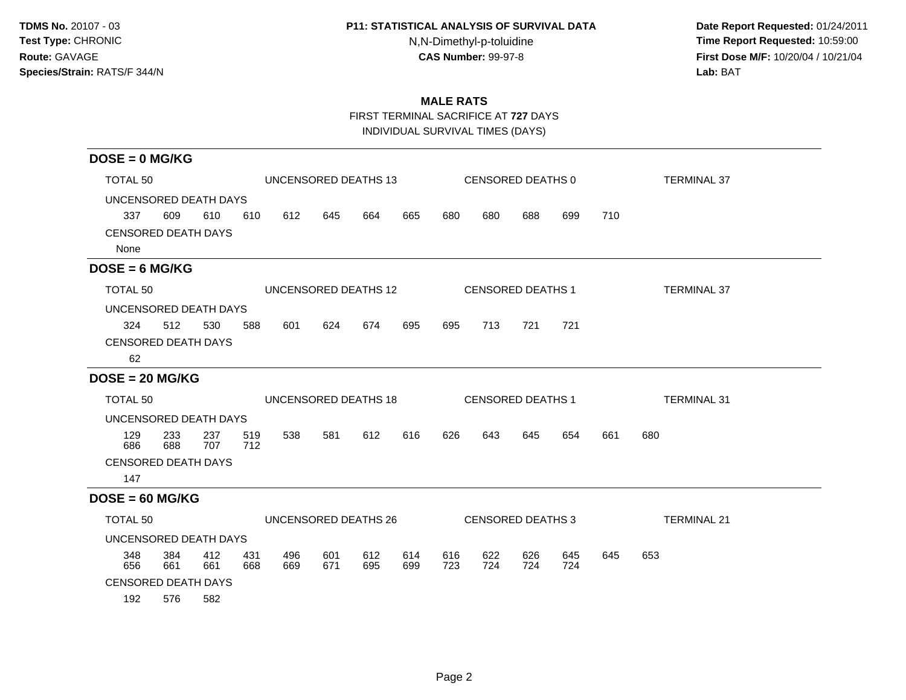## **P11: STATISTICAL ANALYSIS OF SURVIVAL DATA**

N,N-Dimethyl-p-toluidine

 **Date Report Requested:** 01/24/2011 **Time Report Requested:** 10:59:00 **First Dose M/F:** 10/20/04 / 10/21/04<br>**Lab:** BAT **Lab:** BAT

# **MALE RATS**

FIRST TERMINAL SACRIFICE AT **727** DAYS

INDIVIDUAL SURVIVAL TIMES (DAYS)

| $DOSE = 0$ MG/KG                   |                                             |            |            |                      |            |            |            |                   |                          |            |            |     |                    |
|------------------------------------|---------------------------------------------|------------|------------|----------------------|------------|------------|------------|-------------------|--------------------------|------------|------------|-----|--------------------|
|                                    | TOTAL <sub>50</sub><br>UNCENSORED DEATHS 13 |            |            |                      |            |            |            | CENSORED DEATHS 0 |                          |            |            |     | <b>TERMINAL 37</b> |
| UNCENSORED DEATH DAYS              |                                             |            |            |                      |            |            |            |                   |                          |            |            |     |                    |
| 337                                | 609                                         | 610        | 610        | 612                  | 645        | 664        | 665        | 680               | 680                      | 688        | 699        | 710 |                    |
| <b>CENSORED DEATH DAYS</b><br>None |                                             |            |            |                      |            |            |            |                   |                          |            |            |     |                    |
| $DOSE = 6 MG/KG$                   |                                             |            |            |                      |            |            |            |                   |                          |            |            |     |                    |
| TOTAL 50                           |                                             |            |            | UNCENSORED DEATHS 12 |            |            |            |                   | <b>CENSORED DEATHS 1</b> |            |            |     | <b>TERMINAL 37</b> |
| UNCENSORED DEATH DAYS              |                                             |            |            |                      |            |            |            |                   |                          |            |            |     |                    |
| 324                                | 512                                         | 530        | 588        | 601                  | 624        | 674        | 695        | 695               | 713                      | 721        | 721        |     |                    |
| <b>CENSORED DEATH DAYS</b>         |                                             |            |            |                      |            |            |            |                   |                          |            |            |     |                    |
| 62                                 |                                             |            |            |                      |            |            |            |                   |                          |            |            |     |                    |
| $DOSE = 20 MG/KG$                  |                                             |            |            |                      |            |            |            |                   |                          |            |            |     |                    |
| TOTAL 50                           |                                             |            |            | UNCENSORED DEATHS 18 |            |            |            |                   | <b>CENSORED DEATHS 1</b> |            |            |     | <b>TERMINAL 31</b> |
| UNCENSORED DEATH DAYS              |                                             |            |            |                      |            |            |            |                   |                          |            |            |     |                    |
| 129<br>686                         | 233<br>688                                  | 237<br>707 | 519<br>712 | 538                  | 581        | 612        | 616        | 626               | 643                      | 645        | 654        | 661 | 680                |
| <b>CENSORED DEATH DAYS</b>         |                                             |            |            |                      |            |            |            |                   |                          |            |            |     |                    |
| 147                                |                                             |            |            |                      |            |            |            |                   |                          |            |            |     |                    |
| $DOSE = 60 MG/KG$                  |                                             |            |            |                      |            |            |            |                   |                          |            |            |     |                    |
| TOTAL 50                           |                                             |            |            | UNCENSORED DEATHS 26 |            |            |            |                   | CENSORED DEATHS 3        |            |            |     | <b>TERMINAL 21</b> |
| UNCENSORED DEATH DAYS              |                                             |            |            |                      |            |            |            |                   |                          |            |            |     |                    |
| 348<br>656                         | 384<br>661                                  | 412<br>661 | 431<br>668 | 496<br>669           | 601<br>671 | 612<br>695 | 614<br>699 | 616<br>723        | 622<br>724               | 626<br>724 | 645<br>724 | 645 | 653                |
| <b>CENSORED DEATH DAYS</b>         |                                             |            |            |                      |            |            |            |                   |                          |            |            |     |                    |
| 192                                | 576                                         | 582        |            |                      |            |            |            |                   |                          |            |            |     |                    |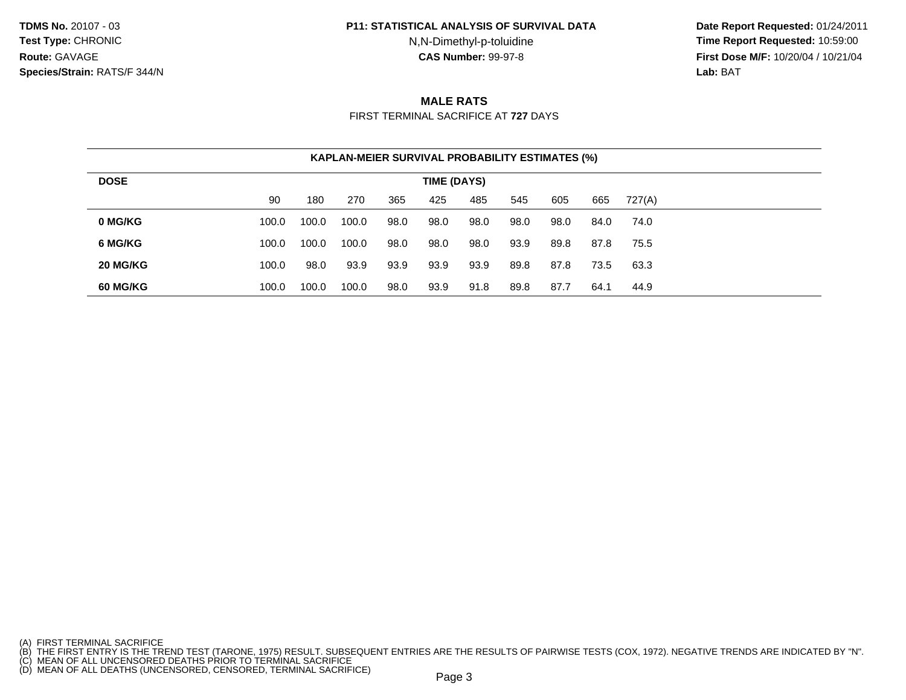#### **P11: STATISTICAL ANALYSIS OF SURVIVAL DATA**

N,N-Dimethyl-p-toluidine

 **Date Report Requested:** 01/24/2011 **Time Report Requested:** 10:59:00 **First Dose M/F:** 10/20/04 / 10/21/04<br>**Lab: BAT Lab:** BAT

## **MALE RATS**

FIRST TERMINAL SACRIFICE AT **727** DAYS

| <b>KAPLAN-MEIER SURVIVAL PROBABILITY ESTIMATES (%)</b> |             |       |       |      |      |      |      |      |      |        |  |  |
|--------------------------------------------------------|-------------|-------|-------|------|------|------|------|------|------|--------|--|--|
| <b>DOSE</b>                                            | TIME (DAYS) |       |       |      |      |      |      |      |      |        |  |  |
|                                                        | 90          | 180   | 270   | 365  | 425  | 485  | 545  | 605  | 665  | 727(A) |  |  |
| 0 MG/KG                                                | 100.0       | 100.0 | 100.0 | 98.0 | 98.0 | 98.0 | 98.0 | 98.0 | 84.0 | 74.0   |  |  |
| 6 MG/KG                                                | 100.0       | 100.0 | 100.0 | 98.0 | 98.0 | 98.0 | 93.9 | 89.8 | 87.8 | 75.5   |  |  |
| 20 MG/KG                                               | 100.0       | 98.0  | 93.9  | 93.9 | 93.9 | 93.9 | 89.8 | 87.8 | 73.5 | 63.3   |  |  |
| 60 MG/KG                                               | 100.0       | 100.0 | 100.0 | 98.0 | 93.9 | 91.8 | 89.8 | 87.7 | 64.1 | 44.9   |  |  |

<sup>(</sup>A) FIRST TERMINAL SACRIFICE<br>(B) THE FIRST ENTRY IS THE TREND TEST (TARONE, 1975) RESULT. SUBSEQUENT ENTRIES ARE THE RESULTS OF PAIRWISE TESTS (COX, 1972). NEGATIVE TRENDS ARE INDICATED BY "N".<br>(C) MEAN OF ALL UNCENSORED D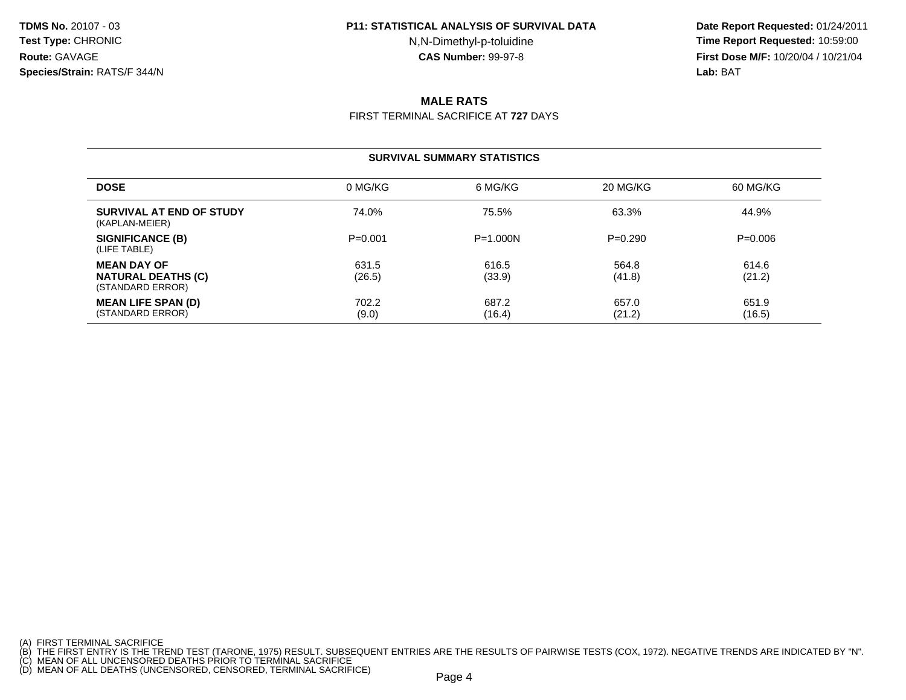#### **P11: STATISTICAL ANALYSIS OF SURVIVAL DATA**

N,N-Dimethyl-p-toluidine

 **Date Report Requested:** 01/24/2011 **Time Report Requested:** 10:59:00 **First Dose M/F:** 10/20/04 / 10/21/04<br>**Lab: BAT Lab:** BAT

# **MALE RATS**

FIRST TERMINAL SACRIFICE AT **727** DAYS

### **SURVIVAL SUMMARY STATISTICS**

| <b>DOSE</b>                                                         | 0 MG/KG         | 6 MG/KG         | 20 MG/KG        | 60 MG/KG        |
|---------------------------------------------------------------------|-----------------|-----------------|-----------------|-----------------|
| SURVIVAL AT END OF STUDY<br>(KAPLAN-MEIER)                          | 74.0%           | 75.5%           | 63.3%           | 44.9%           |
| SIGNIFICANCE (B)<br>(LIFE TABLE)                                    | $P = 0.001$     | $P = 1.000N$    | $P=0.290$       | $P=0.006$       |
| <b>MEAN DAY OF</b><br><b>NATURAL DEATHS (C)</b><br>(STANDARD ERROR) | 631.5<br>(26.5) | 616.5<br>(33.9) | 564.8<br>(41.8) | 614.6<br>(21.2) |
| <b>MEAN LIFE SPAN (D)</b><br>(STANDARD ERROR)                       | 702.2<br>(9.0)  | 687.2<br>(16.4) | 657.0<br>(21.2) | 651.9<br>(16.5) |

<sup>(</sup>A) FIRST TERMINAL SACRIFICE<br>(B) THE FIRST ENTRY IS THE TREND TEST (TARONE, 1975) RESULT. SUBSEQUENT ENTRIES ARE THE RESULTS OF PAIRWISE TESTS (COX, 1972). NEGATIVE TRENDS ARE INDICATED BY "N".<br>(C) MEAN OF ALL UNCENSORED D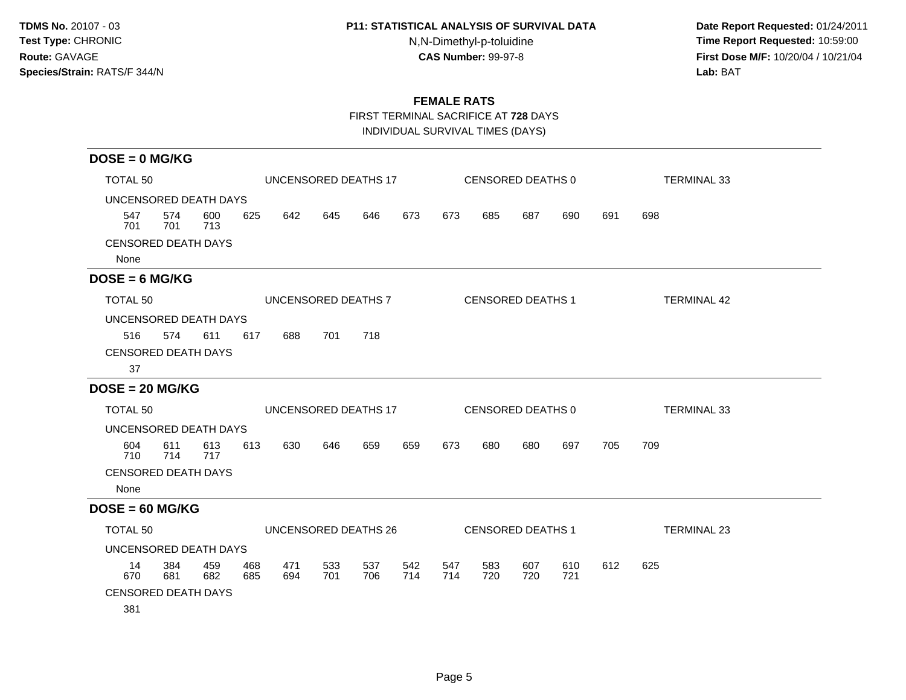## **P11: STATISTICAL ANALYSIS OF SURVIVAL DATA**

N,N-Dimethyl-p-toluidine

 **Date Report Requested:** 01/24/2011 **Time Report Requested:** 10:59:00 **First Dose M/F:** 10/20/04 / 10/21/04<br>**Lab:** BAT **Lab:** BAT

# **FEMALE RATS**

FIRST TERMINAL SACRIFICE AT **728** DAYS

INDIVIDUAL SURVIVAL TIMES (DAYS)

| $DOSE = 0$ MG/KG                   |                                  |            |            |            |            |                      |            |            |            |                          |                    |     |                    |
|------------------------------------|----------------------------------|------------|------------|------------|------------|----------------------|------------|------------|------------|--------------------------|--------------------|-----|--------------------|
|                                    | TOTAL 50<br>UNCENSORED DEATHS 17 |            |            |            |            |                      |            |            |            | CENSORED DEATHS 0        | <b>TERMINAL 33</b> |     |                    |
| UNCENSORED DEATH DAYS              |                                  |            |            |            |            |                      |            |            |            |                          |                    |     |                    |
| 547<br>701                         | 574<br>701                       | 600<br>713 | 625        | 642        | 645        | 646                  | 673        | 673        | 685        | 687                      | 690                | 691 | 698                |
| <b>CENSORED DEATH DAYS</b><br>None |                                  |            |            |            |            |                      |            |            |            |                          |                    |     |                    |
| $DOSE = 6 MG/KG$                   |                                  |            |            |            |            |                      |            |            |            |                          |                    |     |                    |
| TOTAL 50                           |                                  |            |            |            |            | UNCENSORED DEATHS 7  |            |            |            | <b>CENSORED DEATHS 1</b> |                    |     | <b>TERMINAL 42</b> |
| UNCENSORED DEATH DAYS              |                                  |            |            |            |            |                      |            |            |            |                          |                    |     |                    |
| 516                                | 574                              | 611        | 617        | 688        | 701        | 718                  |            |            |            |                          |                    |     |                    |
| <b>CENSORED DEATH DAYS</b>         |                                  |            |            |            |            |                      |            |            |            |                          |                    |     |                    |
| 37                                 |                                  |            |            |            |            |                      |            |            |            |                          |                    |     |                    |
| $DOSE = 20 MG/KG$                  |                                  |            |            |            |            |                      |            |            |            |                          |                    |     |                    |
| TOTAL 50                           |                                  |            |            |            |            | UNCENSORED DEATHS 17 |            |            |            | CENSORED DEATHS 0        |                    |     | <b>TERMINAL 33</b> |
| UNCENSORED DEATH DAYS              |                                  |            |            |            |            |                      |            |            |            |                          |                    |     |                    |
| 604<br>710                         | 611<br>714                       | 613<br>717 | 613        | 630        | 646        | 659                  | 659        | 673        | 680        | 680                      | 697                | 705 | 709                |
| <b>CENSORED DEATH DAYS</b>         |                                  |            |            |            |            |                      |            |            |            |                          |                    |     |                    |
| None                               |                                  |            |            |            |            |                      |            |            |            |                          |                    |     |                    |
| $DOSE = 60$ MG/KG                  |                                  |            |            |            |            |                      |            |            |            |                          |                    |     |                    |
| TOTAL 50                           |                                  |            |            |            |            | UNCENSORED DEATHS 26 |            |            |            | <b>CENSORED DEATHS 1</b> |                    |     | <b>TERMINAL 23</b> |
| UNCENSORED DEATH DAYS              |                                  |            |            |            |            |                      |            |            |            |                          |                    |     |                    |
| 14<br>670                          | 384<br>681                       | 459<br>682 | 468<br>685 | 471<br>694 | 533<br>701 | 537<br>706           | 542<br>714 | 547<br>714 | 583<br>720 | 607<br>720               | 610<br>721         | 612 | 625                |
| <b>CENSORED DEATH DAYS</b>         |                                  |            |            |            |            |                      |            |            |            |                          |                    |     |                    |
| 381                                |                                  |            |            |            |            |                      |            |            |            |                          |                    |     |                    |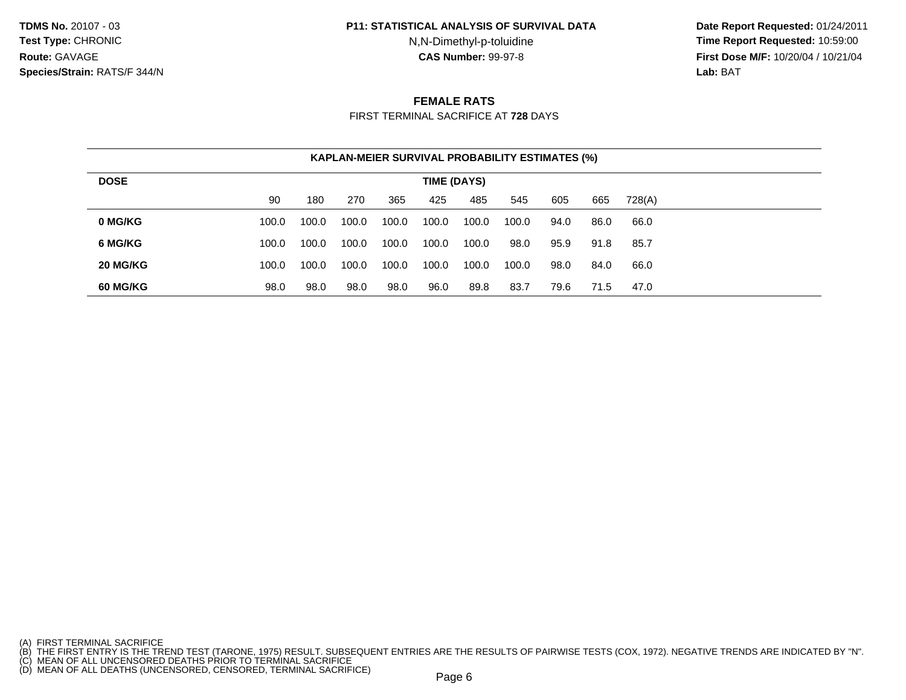#### **P11: STATISTICAL ANALYSIS OF SURVIVAL DATA**

N,N-Dimethyl-p-toluidine

 **Date Report Requested:** 01/24/2011 **Time Report Requested:** 10:59:00 **First Dose M/F:** 10/20/04 / 10/21/04<br>**Lab: BAT Lab:** BAT

## **FEMALE RATS**

FIRST TERMINAL SACRIFICE AT **728** DAYS

|             | <b>KAPLAN-MEIER SURVIVAL PROBABILITY ESTIMATES (%)</b> |       |       |       |       |       |       |      |      |        |  |  |  |
|-------------|--------------------------------------------------------|-------|-------|-------|-------|-------|-------|------|------|--------|--|--|--|
| <b>DOSE</b> | TIME (DAYS)                                            |       |       |       |       |       |       |      |      |        |  |  |  |
|             | 90                                                     | 180   | 270   | 365   | 425   | 485   | 545   | 605  | 665  | 728(A) |  |  |  |
| 0 MG/KG     | 100.0                                                  | 100.0 | 100.0 | 100.0 | 100.0 | 100.0 | 100.0 | 94.0 | 86.0 | 66.0   |  |  |  |
| 6 MG/KG     | 100.0                                                  | 100.0 | 100.0 | 100.0 | 100.0 | 100.0 | 98.0  | 95.9 | 91.8 | 85.7   |  |  |  |
| 20 MG/KG    | 100.0                                                  | 100.0 | 100.0 | 100.0 | 100.0 | 100.0 | 100.0 | 98.0 | 84.0 | 66.0   |  |  |  |
| 60 MG/KG    | 98.0                                                   | 98.0  | 98.0  | 98.0  | 96.0  | 89.8  | 83.7  | 79.6 | 71.5 | 47.0   |  |  |  |

<sup>(</sup>A) FIRST TERMINAL SACRIFICE<br>(B) THE FIRST ENTRY IS THE TREND TEST (TARONE, 1975) RESULT. SUBSEQUENT ENTRIES ARE THE RESULTS OF PAIRWISE TESTS (COX, 1972). NEGATIVE TRENDS ARE INDICATED BY "N".<br>(C) MEAN OF ALL UNCENSORED D